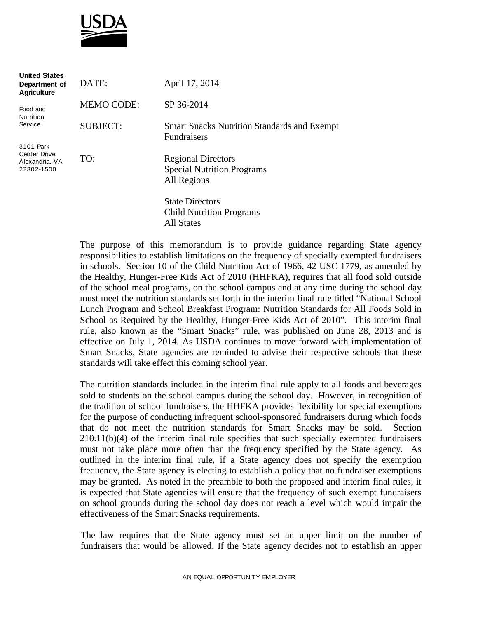

| <b>United States</b><br>Department of<br><b>Agriculture</b>      | DATE:             | April 17, 2014                                                                |
|------------------------------------------------------------------|-------------------|-------------------------------------------------------------------------------|
| Food and<br><b>Nutrition</b>                                     | <b>MEMO CODE:</b> | SP 36-2014                                                                    |
| Service                                                          | <b>SUBJECT:</b>   | <b>Smart Snacks Nutrition Standards and Exempt</b><br><b>Fundraisers</b>      |
| 3101 Park<br><b>Center Drive</b><br>Alexandria, VA<br>22302-1500 | TO:               | <b>Regional Directors</b><br><b>Special Nutrition Programs</b><br>All Regions |
|                                                                  |                   | <b>State Directors</b><br><b>Child Nutrition Programs</b>                     |

All States

The purpose of this memorandum is to provide guidance regarding State agency responsibilities to establish limitations on the frequency of specially exempted fundraisers in schools. Section 10 of the Child Nutrition Act of 1966, 42 USC 1779, as amended by the Healthy, Hunger-Free Kids Act of 2010 (HHFKA), requires that all food sold outside of the school meal programs, on the school campus and at any time during the school day must meet the nutrition standards set forth in the interim final rule titled "National School Lunch Program and School Breakfast Program: Nutrition Standards for All Foods Sold in School as Required by the Healthy, Hunger-Free Kids Act of 2010". This interim final rule, also known as the "Smart Snacks" rule, was published on June 28, 2013 and is effective on July 1, 2014. As USDA continues to move forward with implementation of Smart Snacks, State agencies are reminded to advise their respective schools that these standards will take effect this coming school year.

The nutrition standards included in the interim final rule apply to all foods and beverages sold to students on the school campus during the school day. However, in recognition of the tradition of school fundraisers, the HHFKA provides flexibility for special exemptions for the purpose of conducting infrequent school-sponsored fundraisers during which foods that do not meet the nutrition standards for Smart Snacks may be sold. Section 210.11(b)(4) of the interim final rule specifies that such specially exempted fundraisers must not take place more often than the frequency specified by the State agency. As outlined in the interim final rule, if a State agency does not specify the exemption frequency, the State agency is electing to establish a policy that no fundraiser exemptions may be granted. As noted in the preamble to both the proposed and interim final rules, it is expected that State agencies will ensure that the frequency of such exempt fundraisers on school grounds during the school day does not reach a level which would impair the effectiveness of the Smart Snacks requirements.

The law requires that the State agency must set an upper limit on the number of fundraisers that would be allowed. If the State agency decides not to establish an upper